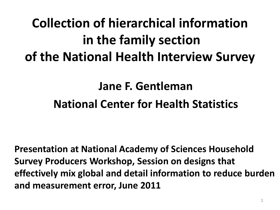# **Collection of hierarchical information in the family section of the National Health Interview Survey**

#### **Jane F. Gentleman National Center for Health Statistics**

**Presentation at National Academy of Sciences Household Survey Producers Workshop, Session on designs that effectively mix global and detail information to reduce burden and measurement error, June 2011**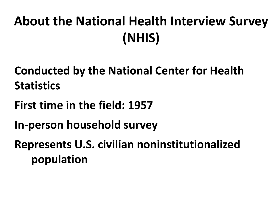# **About the National Health Interview Survey (NHIS)**

**Conducted by the National Center for Health Statistics**

**First time in the field: 1957**

**In-person household survey**

**Represents U.S. civilian noninstitutionalized population**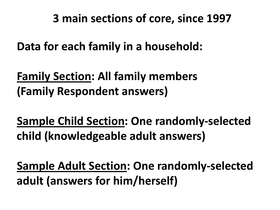**3 main sections of core, since 1997**

**Data for each family in a household:**

**Family Section: All family members (Family Respondent answers)**

**Sample Child Section: One randomly-selected child (knowledgeable adult answers)**

**Sample Adult Section: One randomly-selected adult (answers for him/herself)**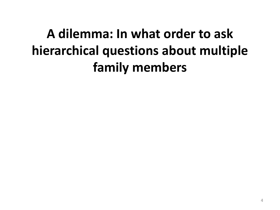# **A dilemma: In what order to ask hierarchical questions about multiple family members**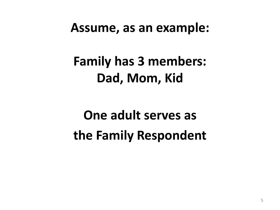#### **Assume, as an example:**

# **Family has 3 members: Dad, Mom, Kid**

# **One adult serves as the Family Respondent**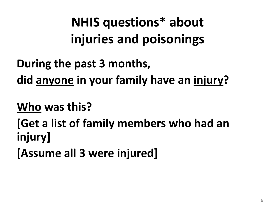**NHIS questions\* about injuries and poisonings**

**During the past 3 months, did anyone in your family have an injury?**

**Who was this?**

**[Get a list of family members who had an injury]**

**[Assume all 3 were injured]**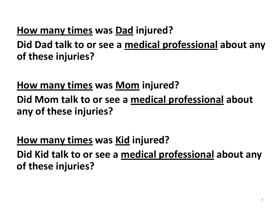#### **How many times was Dad injured?**

**Did Dad talk to or see a medical professional about any of these injuries?**

**How many times was Mom injured?**

**Did Mom talk to or see a medical professional about any of these injuries?**

**How many times was Kid injured? Did Kid talk to or see a medical professional about any of these injuries?**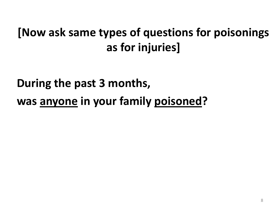#### **[Now ask same types of questions for poisonings as for injuries]**

## **During the past 3 months, was anyone in your family poisoned?**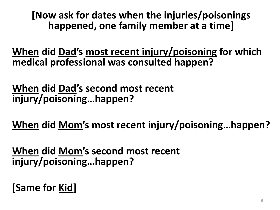**[Now ask for dates when the injuries/poisonings happened, one family member at a time]**

**When did Dad's most recent injury/poisoning for which medical professional was consulted happen?**

**When did Dad's second most recent injury/poisoning…happen?**

**When did Mom's most recent injury/poisoning…happen?**

**When did Mom's second most recent injury/poisoning…happen?**

**[Same for Kid]**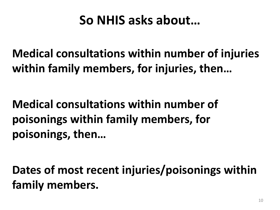### **So NHIS asks about…**

**Medical consultations within number of injuries within family members, for injuries, then…**

**Medical consultations within number of poisonings within family members, for poisonings, then…**

**Dates of most recent injuries/poisonings within family members.**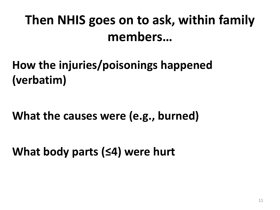# **Then NHIS goes on to ask, within family members…**

### **How the injuries/poisonings happened (verbatim)**

#### **What the causes were (e.g., burned)**

**What body parts (≤4) were hurt**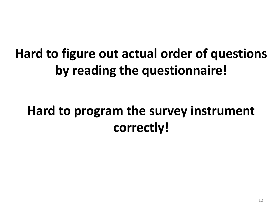# **Hard to figure out actual order of questions by reading the questionnaire!**

# **Hard to program the survey instrument correctly!**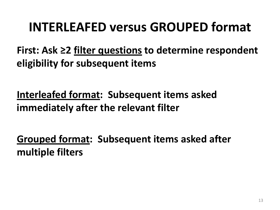### **INTERLEAFED versus GROUPED format**

**First: Ask ≥2 filter questions to determine respondent eligibility for subsequent items**

**Interleafed format: Subsequent items asked immediately after the relevant filter**

**Grouped format: Subsequent items asked after multiple filters**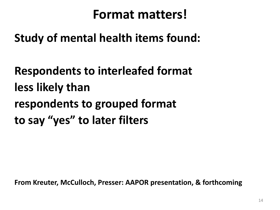#### **Format matters!**

#### **Study of mental health items found:**

**Respondents to interleafed format less likely than respondents to grouped format to say "yes" to later filters**

**From Kreuter, McCulloch, Presser: AAPOR presentation, & forthcoming**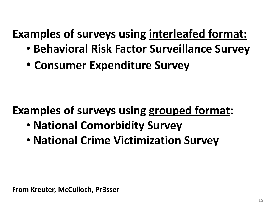### **Examples of surveys using interleafed format:**

- **Behavioral Risk Factor Surveillance Survey**
- **Consumer Expenditure Survey**

### **Examples of surveys using grouped format:**

- **National Comorbidity Survey**
- **National Crime Victimization Survey**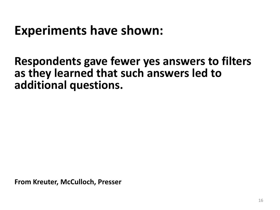### **Experiments have shown:**

#### **Respondents gave fewer yes answers to filters as they learned that such answers led to additional questions.**

**From Kreuter, McCulloch, Presser**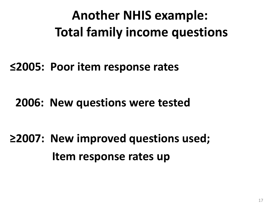# **Another NHIS example: Total family income questions**

#### **≤2005: Poor item response rates**

#### **2006: New questions were tested**

# **≥2007: New improved questions used; Item response rates up**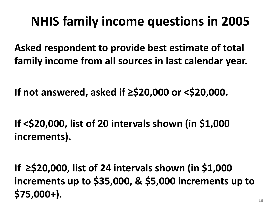### **NHIS family income questions in 2005**

**Asked respondent to provide best estimate of total family income from all sources in last calendar year.**

**If not answered, asked if ≥\$20,000 or <\$20,000.**

**If <\$20,000, list of 20 intervals shown (in \$1,000 increments).**

**If ≥\$20,000, list of 24 intervals shown (in \$1,000 increments up to \$35,000, & \$5,000 increments up to \$75,000+).**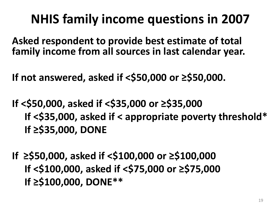# **NHIS family income questions in 2007**

**Asked respondent to provide best estimate of total family income from all sources in last calendar year.**

**If not answered, asked if <\$50,000 or ≥\$50,000.**

- **If <\$50,000, asked if <\$35,000 or ≥\$35,000 If <\$35,000, asked if < appropriate poverty threshold\* If ≥\$35,000, DONE**
- **If ≥\$50,000, asked if <\$100,000 or ≥\$100,000 If <\$100,000, asked if <\$75,000 or ≥\$75,000 If ≥\$100,000, DONE\*\***